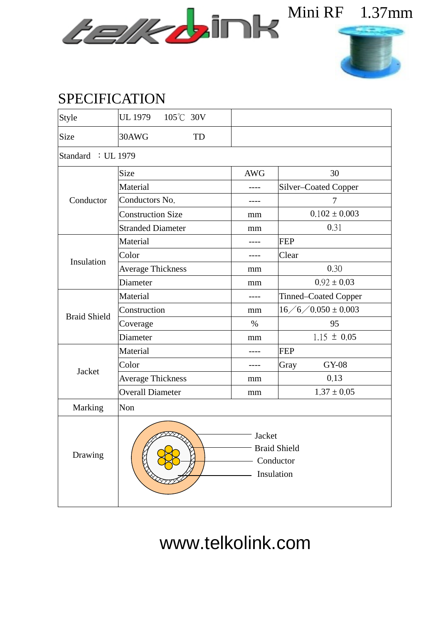



## SPECIFICATION

| Style               | UL 1979 105°C 30V                                            |            |                             |  |  |  |  |  |  |
|---------------------|--------------------------------------------------------------|------------|-----------------------------|--|--|--|--|--|--|
| Size                | 30AWG<br>TD                                                  |            |                             |  |  |  |  |  |  |
| Standard : UL 1979  |                                                              |            |                             |  |  |  |  |  |  |
| Conductor           | Size                                                         | <b>AWG</b> | 30                          |  |  |  |  |  |  |
|                     | Material                                                     | ----       | Silver-Coated Copper        |  |  |  |  |  |  |
|                     | Conductors No.                                               |            | 7                           |  |  |  |  |  |  |
|                     | <b>Construction Size</b>                                     | mm         | $0.102 \pm 0.003$           |  |  |  |  |  |  |
|                     | <b>Stranded Diameter</b>                                     | mm         | 0.31                        |  |  |  |  |  |  |
| Insulation          | Material                                                     |            | <b>FEP</b>                  |  |  |  |  |  |  |
|                     | Color                                                        |            | Clear                       |  |  |  |  |  |  |
|                     | <b>Average Thickness</b>                                     | mm         | 0.30                        |  |  |  |  |  |  |
|                     | Diameter                                                     | mm         | $0.92 \pm 0.03$             |  |  |  |  |  |  |
| <b>Braid Shield</b> | Material                                                     | ----       | <b>Tinned–Coated Copper</b> |  |  |  |  |  |  |
|                     | Construction                                                 | mm         | $16 / 6 / 0.050 \pm 0.003$  |  |  |  |  |  |  |
|                     | Coverage                                                     | $\%$       | 95                          |  |  |  |  |  |  |
|                     | Diameter                                                     | mm         | $1.15 \pm 0.05$             |  |  |  |  |  |  |
| Jacket              | Material                                                     |            | <b>FEP</b>                  |  |  |  |  |  |  |
|                     | Color                                                        | ----       | <b>GY-08</b><br>Gray        |  |  |  |  |  |  |
|                     | <b>Average Thickness</b>                                     | mm         | 0.13                        |  |  |  |  |  |  |
|                     | <b>Overall Diameter</b>                                      | mm         | $1.37 \pm 0.05$             |  |  |  |  |  |  |
| Marking             | Non                                                          |            |                             |  |  |  |  |  |  |
| Drawing             | $-$ Jacket<br><b>Braid Shield</b><br>Conductor<br>Insulation |            |                             |  |  |  |  |  |  |

www.telkolink.com